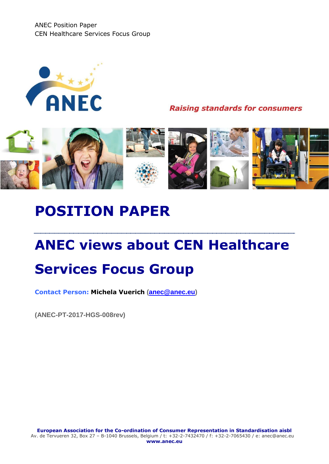ANEC Position Paper CEN Healthcare Services Focus Group



**Raising standards for consumers** 



## **POSITION PAPER**

# **ANEC views about CEN Healthcare Services Focus Group**

**Contact Person: Michela Vuerich [\(anec@anec.eu\)](mailto:anec@anec.eu)**

**(ANEC-PT-2017-HGS-008rev)**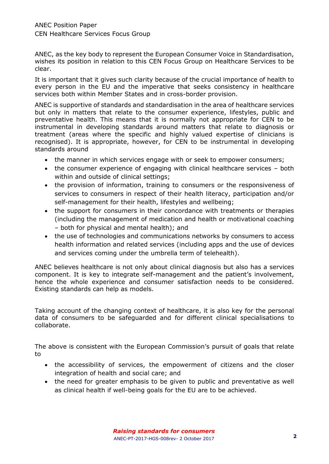ANEC, as the key body to represent the European Consumer Voice in Standardisation, wishes its position in relation to this CEN Focus Group on Healthcare Services to be clear.

It is important that it gives such clarity because of the crucial importance of health to every person in the EU and the imperative that seeks consistency in healthcare services both within Member States and in cross-border provision.

ANEC is supportive of standards and standardisation in the area of healthcare services but only in matters that relate to the consumer experience, lifestyles, public and preventative health. This means that it is normally not appropriate for CEN to be instrumental in developing standards around matters that relate to diagnosis or treatment (areas where the specific and highly valued expertise of clinicians is recognised). It is appropriate, however, for CEN to be instrumental in developing standards around

- the manner in which services engage with or seek to empower consumers;
- the consumer experience of engaging with clinical healthcare services both within and outside of clinical settings;
- the provision of information, training to consumers or the responsiveness of services to consumers in respect of their health literacy, participation and/or self-management for their health, lifestyles and wellbeing;
- the support for consumers in their concordance with treatments or therapies (including the management of medication and health or motivational coaching – both for physical and mental health); and
- the use of technologies and communications networks by consumers to access health information and related services (including apps and the use of devices and services coming under the umbrella term of telehealth).

ANEC believes healthcare is not only about clinical diagnosis but also has a services component. It is key to integrate self-management and the patient's involvement, hence the whole experience and consumer satisfaction needs to be considered. Existing standards can help as models.

Taking account of the changing context of healthcare, it is also key for the personal data of consumers to be safeguarded and for different clinical specialisations to collaborate.

The above is consistent with the European Commission's pursuit of goals that relate to

- the accessibility of services, the empowerment of citizens and the closer integration of health and social care; and
- the need for greater emphasis to be given to public and preventative as well as clinical health if well-being goals for the EU are to be achieved.